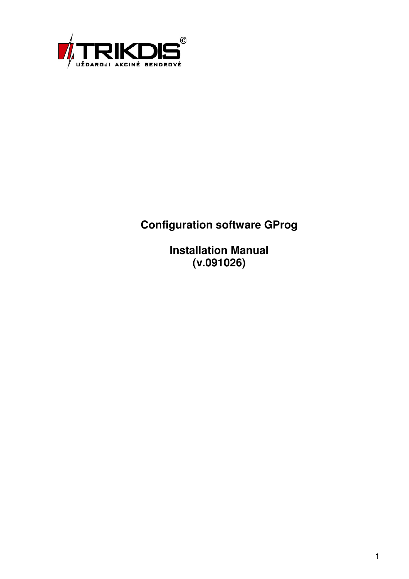

## **Configuration software GProg**

**Installation Manual (v.091026)**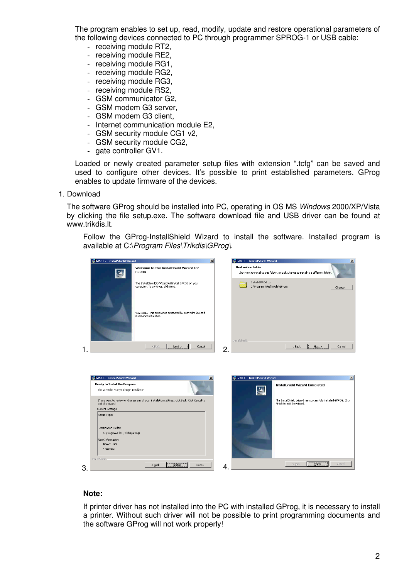The program enables to set up, read, modify, update and restore operational parameters of the following devices connected to PC through programmer SPROG-1 or USB cable:

- receiving module RT2,
- receiving module RE2,
- receiving module RG1,
- receiving module RG2,
- receiving module RG3,
- receiving module RS2,
- GSM communicator G2,
- GSM modem G3 server,
- GSM modem G3 client,
- Internet communication module E2,
- GSM security module CG1 v2,
- GSM security module CG2,
- gate controller GV1.

Loaded or newly created parameter setup files with extension ".tcfg" can be saved and used to configure other devices. It's possible to print established parameters. GProg enables to update firmware of the devices.

## 1. Download

The software GProg should be installed into PC, operating in OS MS Windows 2000/XP/Vista by clicking the file setup.exe. The software download file and USB driver can be found at www.trikdis.lt.

Follow the GProg-InstallShield Wizard to install the software. Installed program is available at C:\Program Files\Trikdis\GProg\.

|    | GPROG - InstallShield Wizard<br>$\vert x \vert$                            |                                                                                                |    | GPROG - InstallShield Wizard                         | $\vert x \vert$                                                                                |
|----|----------------------------------------------------------------------------|------------------------------------------------------------------------------------------------|----|------------------------------------------------------|------------------------------------------------------------------------------------------------|
|    | $\blacktriangle$                                                           | Welcome to the InstallShield Wizard for<br><b>GPROG</b>                                        |    | <b>Destination Folder</b>                            | Click Next to install to this folder, or click Change to install to a different folder.        |
|    |                                                                            | The InstallShield(R) Wizard will install GPROG on your<br>computer. To continue, click Next.   |    | Install GPROG to:<br>C:\Program Files\Trikdis\GProg\ | Change                                                                                         |
|    |                                                                            | WARNING: This program is protected by copyright law and<br>international treaties.             |    |                                                      |                                                                                                |
|    |                                                                            | Next<br>$<$ Back<br>Cancel                                                                     | 2  | InstallShield                                        | $<$ Back<br>Next<br>Cancel                                                                     |
|    |                                                                            |                                                                                                |    |                                                      |                                                                                                |
|    | GPROG - InstallShield Wizard                                               | $\vert x \vert$                                                                                |    | GPROG - InstallShield Wizard                         | $\vert x \vert$                                                                                |
|    | Ready to Install the Program<br>The wizard is ready to begin installation. |                                                                                                |    |                                                      | InstallShield Wizard Completed                                                                 |
|    | exit the wizard.                                                           | If you want to review or change any of your installation settings, click Back. Click Cancel to |    |                                                      | The InstallShield Wizard has successfully installed GPROG. Click<br>Finish to exit the wizard. |
|    | Current Settings:<br>Setup Type:                                           |                                                                                                |    |                                                      |                                                                                                |
|    |                                                                            |                                                                                                |    |                                                      |                                                                                                |
|    | Destination Folder:<br>C:\Program Files\Trikdis\GProg\                     |                                                                                                |    |                                                      |                                                                                                |
|    | User Information:                                                          |                                                                                                |    |                                                      |                                                                                                |
|    | Name: User<br>Company:                                                     |                                                                                                |    |                                                      |                                                                                                |
|    |                                                                            |                                                                                                |    |                                                      |                                                                                                |
| 3. | InstallShield                                                              | Install<br>Cancel<br>$<$ Back                                                                  | 4. |                                                      | $<$ Back<br>Cancel<br><b>Einish</b>                                                            |

## **Note:**

If printer driver has not installed into the PC with installed GProg, it is necessary to install a printer. Without such driver will not be possible to print programming documents and the software GProg will not work properly!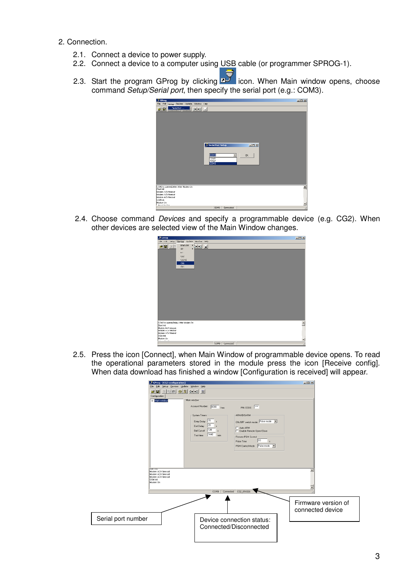- 2. Connection.
	- 2.1. Connect a device to power supply.
	- 2.2. Connect a device to a computer using USB cable (or programmer SPROG-1).
	- 2.3. Start the program GProg by clicking **in Fillips** icon. When Main window opens, choose command Setup/Serial port, then specify the serial port (e.g.: COM3).



2.4. Choose command Devices and specify a programmable device (e.g. CG2). When other devices are selected view of the Main Window changes.



2.5. Press the icon [Connect], when Main Window of programmable device opens. To read the operational parameters stored in the module press the icon [Receive config]. When data download has finished a window [Configuration is received] will appear.

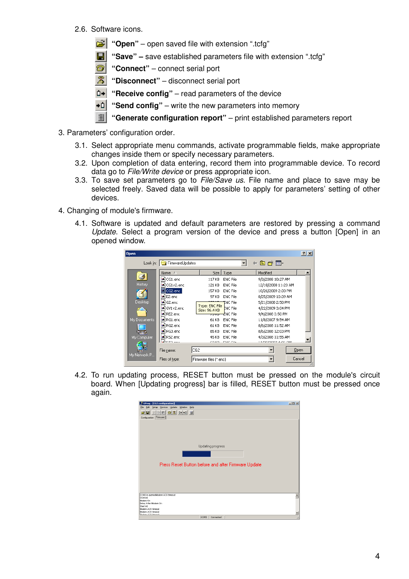- 2.6. Software icons.
	- **1** "Open" open saved file with extension ".tcfg"
	- **"Save" –** save established parameters file with extension ".tcfg"
	- **<sup>3</sup>** "Connect" connect serial port
	- **<sup>3</sup>** "Disconnect" disconnect serial port
	- **D**<sup>→</sup> "Receive config" read parameters of the device
	- **\*1** "Send config" write the new parameters into memory
	- **"Generate configuration report"** print established parameters report
- 3. Parameters' configuration order.
	- 3.1. Select appropriate menu commands, activate programmable fields, make appropriate changes inside them or specify necessary parameters.
	- 3.2. Upon completion of data entering, record them into programmable device. To record data go to File/Write device or press appropriate icon.
	- 3.3. To save set parameters go to File/Save us. File name and place to save may be selected freely. Saved data will be possible to apply for parameters' setting of other devices.
- 4. Changing of module's firmware.
	- 4.1. Software is updated and default parameters are restored by pressing a command Update. Select a program version of the device and press a button [Open] in an opened window.

| Open         |                   |                                 |                 |                           | $ ?  \times$ |
|--------------|-------------------|---------------------------------|-----------------|---------------------------|--------------|
| Look in:     | FirmwareUpdates   |                                 |                 | ←自び囲・                     |              |
|              | Name A            | Size I                          | Type            | Modified                  |              |
|              | an CG1.enc        | 117 KB                          | <b>ENC</b> File | 9/3/2008 10:27 AM         |              |
| History      | al CG1v2.enc      | 121 KB                          | <b>ENC File</b> | 12/18/2008 11:23 AM       |              |
|              | CG2.enc           | 157 KB                          | ENC File        | 10/26/2009 2:33 PM        |              |
|              | sa E2.enc         | 97 KB                           | ENC File        | 8/25/2009 10:39 AM        |              |
| Desktop      | Sal G2, enc       | Type: ENC File<br>Size: 96.4 KB | TNC File        | 5/21/2008 2:50 PM         |              |
|              | al GV1v2.enc      |                                 | ENC File        | 4/22/2009 3:04 PM         |              |
|              | <b>≥a</b> RE2.enc | ਹਾਰ                             | ENC File        | 9/4/2008 3:50 PM          |              |
| My Documents | RG1.enc           | 61 KB                           | ENC File        | 11/8/2007 9:54 AM         |              |
|              | RG2.enc           | 61 KB                           | ENC File        | 8/6/2008 11:52 AM         |              |
|              | RG3.enc           | 85 KB                           | ENC File        | 8/6/2008 12:03 PM         |              |
| My Computer  | RS2.enc           | 45 KB                           | ENC File        | 4/3/2008 11:55 AM         |              |
|              | <u> Əhra </u>     | 20.125                          | mate mile       | <b>13 SOLDOOR ALOC DM</b> |              |
|              | File name:        | CG <sub>2</sub>                 |                 |                           | Open         |
| My Network P | Files of type:    | Firmware files [*.enc]          |                 |                           | Cancel       |

4.2. To run updating process, RESET button must be pressed on the module's circuit board. When [Updating progress] bar is filled, RESET button must be pressed once again.

| GProg - [CG2 configuration]                                                                                 | $-10x$ |
|-------------------------------------------------------------------------------------------------------------|--------|
| Edit Setup Devices Update Window<br>Help<br>Elle                                                            |        |
| $\mathbb{Z}$ be a $\otimes$ $\otimes$ $\cdots$ -1 e $\otimes$<br>e di<br>Configuration [Firmware]           |        |
| Updating progress<br>Press Reset Button before and after Firmware Update<br>COM3 is openedModem ACK timeout |        |
| GSM init                                                                                                    |        |
| Modem On                                                                                                    |        |
| Delay After Modern On                                                                                       |        |
| Start int                                                                                                   |        |
| Modern ACK timeout                                                                                          |        |
| Modern ACK timeout<br>Modern ACM Himney                                                                     |        |
| COM3<br>Connected                                                                                           |        |
|                                                                                                             |        |